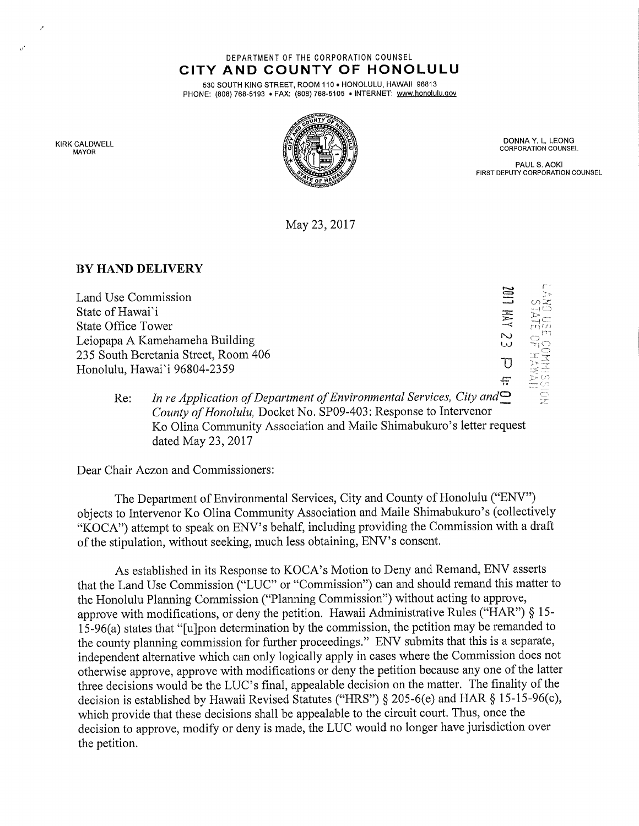DEPARTMENT OF THE CORPORATION COUNSEL CITY AND COUNTY OF HONOLULU

530 SOUTH KING STREET, ROOM 110 . HONOLULU, HAWAII 96813 PHONE: (808) 768-5193 • FAX: (808) 768-5105 • INTERNET: www.honolulu.gov



DONNA Y. L, LEONG CORPORATION COUNSEL

PAUL S. AOKI FIRST DEPUTY CORPORATION COUNSEL

May 23, 2017

## BY HAND DELIVERY

Land Use Commission State of Hawai'i State Office Tower Leiopapa A Kamehameha Building 235 South Beretania Street, Room 406 Honolulu, Hawai'i 96804-2359

r"  $\omega$   $\approx$  $\equiv$  $\circlearrowright^\text{ri}$  $\breve{\phantom{a}}$  $\overline{U}$ ": > F ---)<br>جو --

Re: In re Application of Department of Environmental Services, City and  $\supseteq$ County of Honolulu, Docket No. SP09-403: Response to Intervenor Ko Olina Community Association and Maile Shimabukuro's letter request dated May 23, 2017

Dear Chair Aczon and Commissioners:

The Department of Environmental Services, City and County of Honolulu ("ENV") objects to Intervenor Ko Olina Community Association and Maile Shimabukuro's (collectively "KOCA") attempt to speak on ENV's behalf, including providing the Commission with a draft of the stipulation, without seeking, much less obtaining, ENV's consent.

As established in its Response to KOCA's Motion to Deny and Remand, ENV asserts that the Land Use Commission ("LUC" or "Commission") can and should remand this matter to the Honolulu Planning Commission ("Planning Commission") without acting to approve, approve with modifications, or deny the petition. Hawaii Administrative Rules ("HAR") § 15- 15-96(a) states that "[u]pon determination by the commission, the petition may be remanded to the county planning commission for further proceedings." ENV submits that this is a separate, independent alternative which can only logically apply in cases where the Commission does not otherwise approve, approve with modifications or deny the petition because any one of the latter three decisions would be the LUC's final, appealable decision on the matter. The finality of the decision is established by Hawaii Revised Statutes ("HRS") § 205-6(e) and HAR § 15-15-96(c), which provide that these decisions shall be appealable to the circuit court. Thus, once the decision to approve, modify or deny is made, the LUC would no longer have jurisdiction over the petition.

KIRK CALDWELL MAYOR